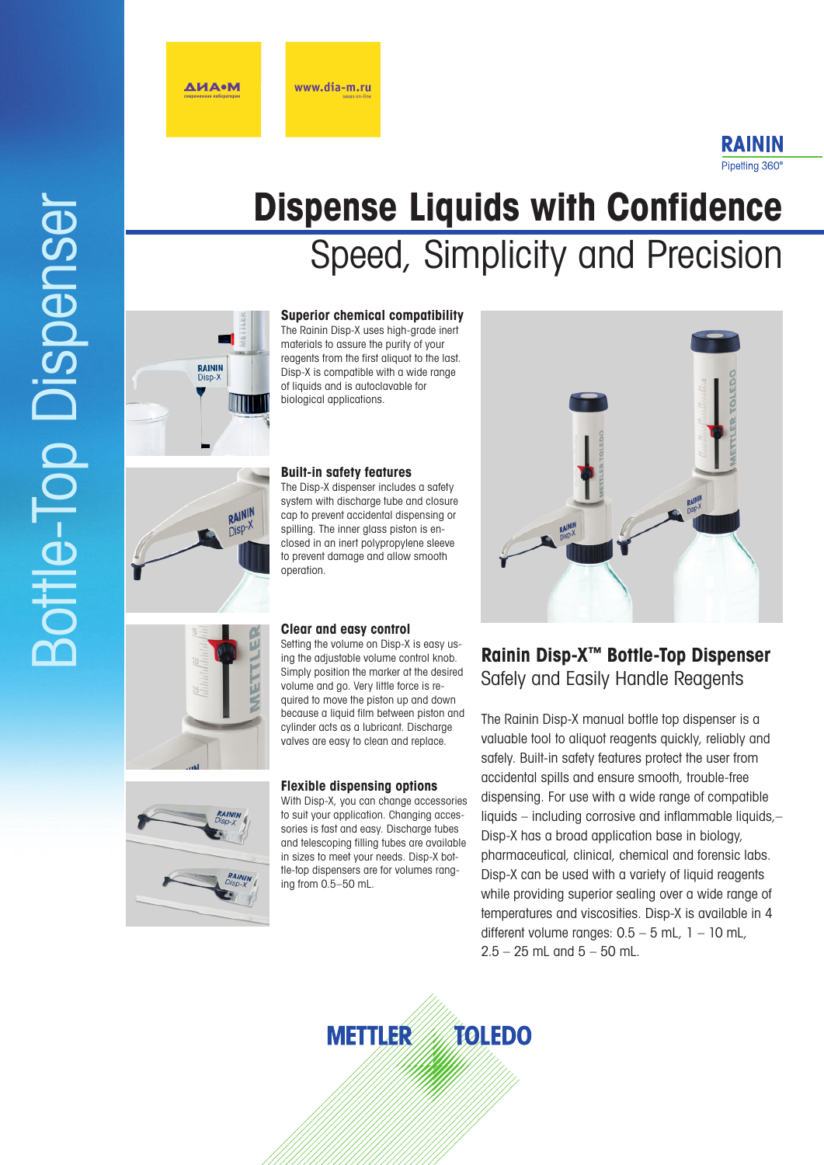**ДИА•М** 

### RAININ Pipetting 360°

# Bottle-Top Dispenser**Bottle-Top Dispenser**

# **Dispense Liquids with Confidence**  Speed, Simplicity and Precision



RAININ

### **Superior chemical compatibility**

The Rainin Disp-X uses high-grade inert materials to assure the purity of your reagents from the first aliquot to the last. Disp-X is compatible with a wide range of liquids and is autoclavable for biological applications.

### **Built-in safety features**

The Disp-X dispenser includes a safety system with discharge tube and closure cap to prevent accidental dispensing or spilling. The inner glass piston is enclosed in an inert polypropylene sleeve to prevent damage and allow smooth operation.

### **Clear and easy control**

Setting the volume on Disp-X is easy us ing the adjustable volume control knob. Simply position the marker at the desired volume and go. Very little force is re quired to move the piston up and down because a liquid film between piston and cylinder acts as a lubricant. Discharge valves are easy to clean and replace.

### **Flexible dispensing options**

With Disp-X, you can change accessories to suit your application. Changing acces sories is fast and easy. Discharge tubes and telescoping filling tubes are available in sizes to meet your needs. Disp-X bot tle-top dispensers are for volumes rang ing from 0.5–50 mL.



### **Rainin Disp-X ™ Bottle-Top Dispenser** Safely and Easily Handle Reagents

The Rainin Disp-X manual bottle top dispenser is a valuable tool to aliquot reagents quickly, reliably and safely. Built-in safety features protect the user from accidental spills and ensure smooth, trouble-free dispensing. For use with a wide range of compatible liquids – including corrosive and inflammable liquids,– Disp-X has a broad application base in biology, pharmaceutical, clinical, chemical and forensic labs. Disp-X can be used with a variety of liquid reagents while providing superior sealing over a wide range of temperatures and viscosities. Disp-X is available in 4 different volume ranges:  $0.5 - 5$  mL,  $1 - 10$  mL,  $2.5 - 25$  mL and  $5 - 50$  mL.